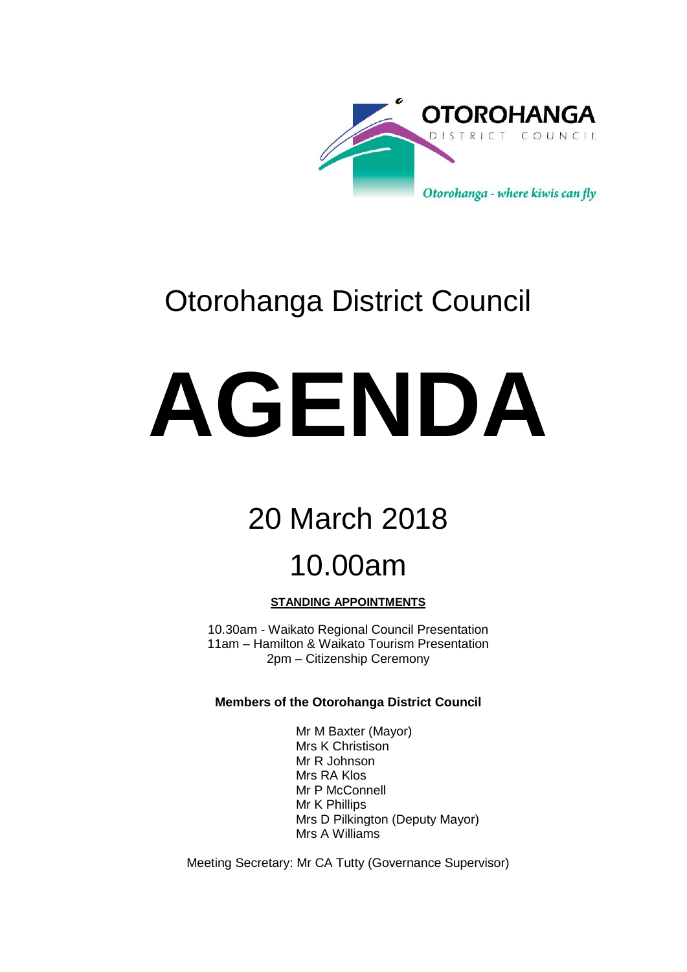

# Otorohanga District Council

# **AGENDA**

# 20 March 2018

# 10.00am

## **STANDING APPOINTMENTS**

10.30am - Waikato Regional Council Presentation 11am – Hamilton & Waikato Tourism Presentation 2pm – Citizenship Ceremony

## **Members of the Otorohanga District Council**

Mr M Baxter (Mayor) Mrs K Christison Mr R Johnson Mrs RA Klos Mr P McConnell Mr K Phillips Mrs D Pilkington (Deputy Mayor) Mrs A Williams

Meeting Secretary: Mr CA Tutty (Governance Supervisor)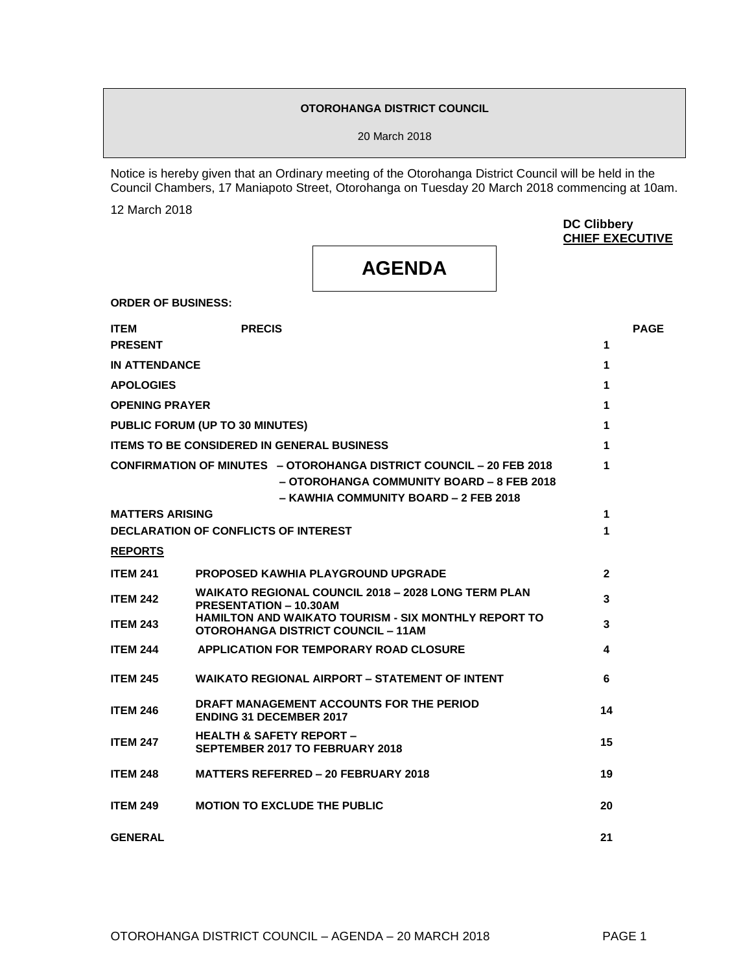## **OTOROHANGA DISTRICT COUNCIL**

20 March 2018

Notice is hereby given that an Ordinary meeting of the Otorohanga District Council will be held in the Council Chambers, 17 Maniapoto Street, Otorohanga on Tuesday 20 March 2018 commencing at 10am.

12 March 2018

**DC Clibbery CHIEF EXECUTIVE**

## **AGENDA**

**ORDER OF BUSINESS:**

| <b>ITEM</b>                                            | <b>PRECIS</b>                                                                                                                                             |                | <b>PAGE</b> |
|--------------------------------------------------------|-----------------------------------------------------------------------------------------------------------------------------------------------------------|----------------|-------------|
| <b>PRESENT</b>                                         |                                                                                                                                                           | 1              |             |
| <b>IN ATTENDANCE</b>                                   |                                                                                                                                                           | 1              |             |
| <b>APOLOGIES</b>                                       |                                                                                                                                                           | 1              |             |
| <b>OPENING PRAYER</b>                                  |                                                                                                                                                           | 1              |             |
|                                                        | <b>PUBLIC FORUM (UP TO 30 MINUTES)</b>                                                                                                                    | 1              |             |
|                                                        | <b>ITEMS TO BE CONSIDERED IN GENERAL BUSINESS</b>                                                                                                         | 1              |             |
|                                                        | CONFIRMATION OF MINUTES - OTOROHANGA DISTRICT COUNCIL - 20 FEB 2018<br>– OTOROHANGA COMMUNITY BOARD – 8 FEB 2018<br>- KAWHIA COMMUNITY BOARD - 2 FEB 2018 | 1              |             |
| <b>MATTERS ARISING</b>                                 |                                                                                                                                                           | 1              |             |
|                                                        | <b>DECLARATION OF CONFLICTS OF INTEREST</b>                                                                                                               | 1              |             |
| <b>REPORTS</b>                                         |                                                                                                                                                           |                |             |
| <b>ITEM 241</b>                                        | <b>PROPOSED KAWHIA PLAYGROUND UPGRADE</b>                                                                                                                 | $\overline{2}$ |             |
| <b>ITEM 242</b>                                        | <b>WAIKATO REGIONAL COUNCIL 2018 - 2028 LONG TERM PLAN</b><br><b>PRESENTATION - 10.30AM</b>                                                               | 3              |             |
| <b>ITEM 243</b>                                        | <b>HAMILTON AND WAIKATO TOURISM - SIX MONTHLY REPORT TO</b><br><b>OTOROHANGA DISTRICT COUNCIL - 11AM</b>                                                  | 3              |             |
| <b>ITEM 244</b>                                        | <b>APPLICATION FOR TEMPORARY ROAD CLOSURE</b>                                                                                                             | 4              |             |
| <b>ITEM 245</b>                                        | <b>WAIKATO REGIONAL AIRPORT – STATEMENT OF INTENT</b>                                                                                                     | 6              |             |
| <b>ITEM 246</b>                                        | DRAFT MANAGEMENT ACCOUNTS FOR THE PERIOD<br><b>ENDING 31 DECEMBER 2017</b>                                                                                | 14             |             |
| <b>ITEM 247</b>                                        | <b>HEALTH &amp; SAFETY REPORT -</b><br><b>SEPTEMBER 2017 TO FEBRUARY 2018</b>                                                                             | 15             |             |
| <b>ITEM 248</b>                                        | <b>MATTERS REFERRED - 20 FEBRUARY 2018</b>                                                                                                                | 19             |             |
| <b>MOTION TO EXCLUDE THE PUBLIC</b><br><b>ITEM 249</b> |                                                                                                                                                           |                |             |
| <b>GENERAL</b>                                         |                                                                                                                                                           | 21             |             |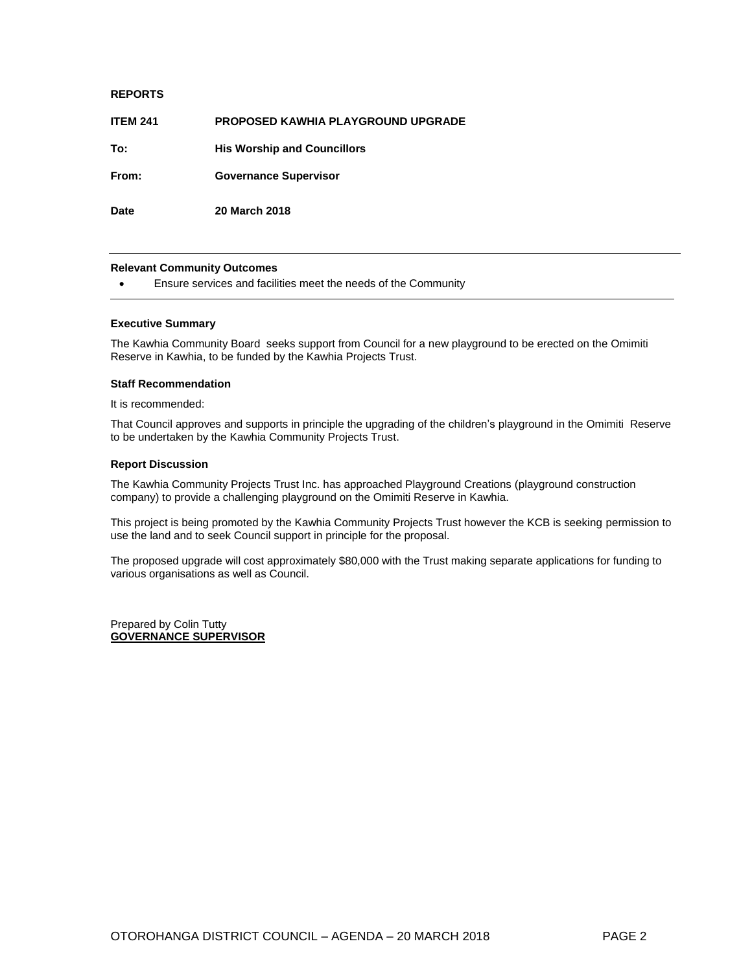## **REPORTS**

| <b>ITEM 241</b> | <b>PROPOSED KAWHIA PLAYGROUND UPGRADE</b> |
|-----------------|-------------------------------------------|
| To:             | <b>His Worship and Councillors</b>        |
| From:           | <b>Governance Supervisor</b>              |
| <b>Date</b>     | <b>20 March 2018</b>                      |

## **Relevant Community Outcomes**

Ensure services and facilities meet the needs of the Community

## **Executive Summary**

The Kawhia Community Board seeks support from Council for a new playground to be erected on the Omimiti Reserve in Kawhia, to be funded by the Kawhia Projects Trust.

## **Staff Recommendation**

It is recommended:

That Council approves and supports in principle the upgrading of the children's playground in the Omimiti Reserve to be undertaken by the Kawhia Community Projects Trust.

## **Report Discussion**

The Kawhia Community Projects Trust Inc. has approached Playground Creations (playground construction company) to provide a challenging playground on the Omimiti Reserve in Kawhia.

This project is being promoted by the Kawhia Community Projects Trust however the KCB is seeking permission to use the land and to seek Council support in principle for the proposal.

The proposed upgrade will cost approximately \$80,000 with the Trust making separate applications for funding to various organisations as well as Council.

Prepared by Colin Tutty **GOVERNANCE SUPERVISOR**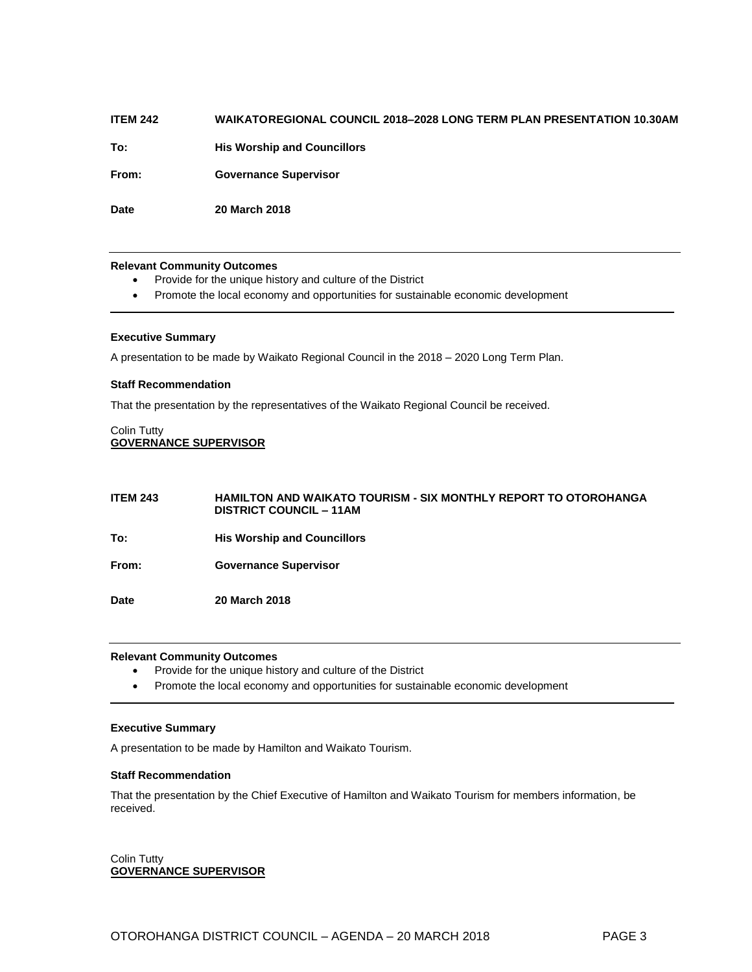## **ITEM 242 WAIKATOREGIONAL COUNCIL 2018–2028 LONG TERM PLAN PRESENTATION 10.30AM**

**To: His Worship and Councillors** 

**From: Governance Supervisor** 

**Date 20 March 2018**

## **Relevant Community Outcomes**

- Provide for the unique history and culture of the District
- Promote the local economy and opportunities for sustainable economic development

## **Executive Summary**

A presentation to be made by Waikato Regional Council in the 2018 – 2020 Long Term Plan.

## **Staff Recommendation**

That the presentation by the representatives of the Waikato Regional Council be received.

## Colin Tutty **GOVERNANCE SUPERVISOR**

| <b>ITEM 243</b> | <b>HAMILTON AND WAIKATO TOURISM - SIX MONTHLY REPORT TO OTOROHANGA</b><br><b>DISTRICT COUNCIL – 11AM</b> |
|-----------------|----------------------------------------------------------------------------------------------------------|
| To:             | <b>His Worship and Councillors</b>                                                                       |
| From:           | <b>Governance Supervisor</b>                                                                             |
| Date            | <b>20 March 2018</b>                                                                                     |

## **Relevant Community Outcomes**

- Provide for the unique history and culture of the District
- Promote the local economy and opportunities for sustainable economic development

## **Executive Summary**

A presentation to be made by Hamilton and Waikato Tourism.

## **Staff Recommendation**

That the presentation by the Chief Executive of Hamilton and Waikato Tourism for members information, be received.

Colin Tutty **GOVERNANCE SUPERVISOR**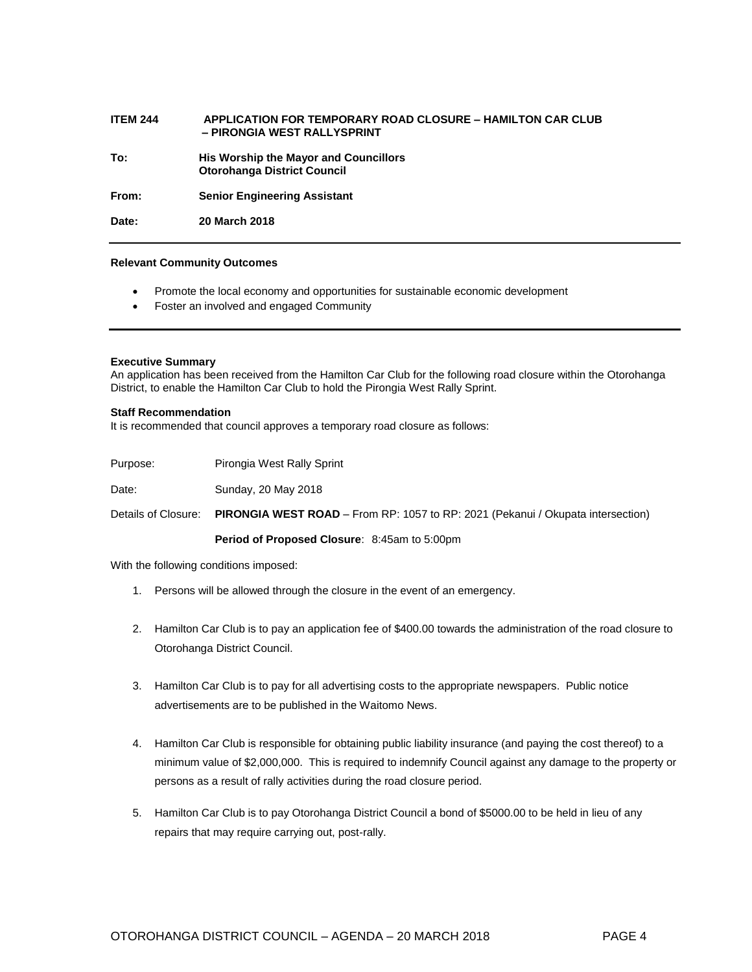## **ITEM 244 APPLICATION FOR TEMPORARY ROAD CLOSURE – HAMILTON CAR CLUB – PIRONGIA WEST RALLYSPRINT**

**To: His Worship the Mayor and Councillors Otorohanga District Council**

**From: Senior Engineering Assistant**

**Date: 20 March 2018**

## **Relevant Community Outcomes**

- Promote the local economy and opportunities for sustainable economic development
- Foster an involved and engaged Community

## **Executive Summary**

An application has been received from the Hamilton Car Club for the following road closure within the Otorohanga District, to enable the Hamilton Car Club to hold the Pirongia West Rally Sprint.

## **Staff Recommendation**

It is recommended that council approves a temporary road closure as follows:

| Purpose: | Pirongia West Rally Sprint |
|----------|----------------------------|
|          |                            |

Date: Sunday, 20 May 2018

Details of Closure: **PIRONGIA WEST ROAD** – From RP: 1057 to RP: 2021 (Pekanui / Okupata intersection)

## **Period of Proposed Closure**: 8:45am to 5:00pm

With the following conditions imposed:

- 1. Persons will be allowed through the closure in the event of an emergency.
- 2. Hamilton Car Club is to pay an application fee of \$400.00 towards the administration of the road closure to Otorohanga District Council.
- 3. Hamilton Car Club is to pay for all advertising costs to the appropriate newspapers. Public notice advertisements are to be published in the Waitomo News.
- 4. Hamilton Car Club is responsible for obtaining public liability insurance (and paying the cost thereof) to a minimum value of \$2,000,000. This is required to indemnify Council against any damage to the property or persons as a result of rally activities during the road closure period.
- 5. Hamilton Car Club is to pay Otorohanga District Council a bond of \$5000.00 to be held in lieu of any repairs that may require carrying out, post-rally.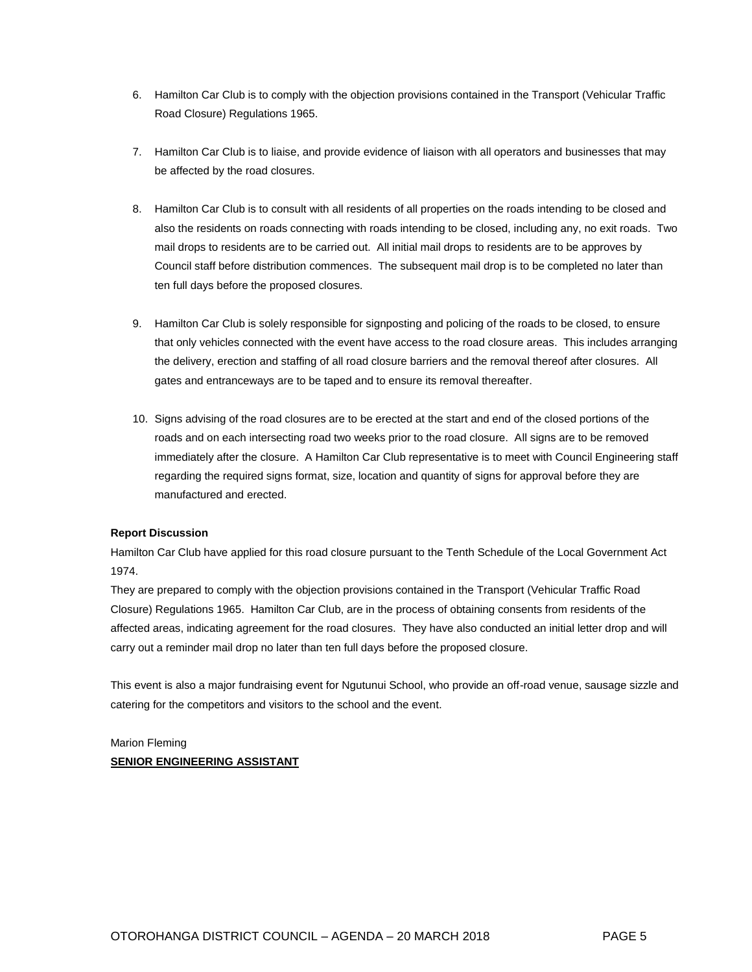- 6. Hamilton Car Club is to comply with the objection provisions contained in the Transport (Vehicular Traffic Road Closure) Regulations 1965.
- 7. Hamilton Car Club is to liaise, and provide evidence of liaison with all operators and businesses that may be affected by the road closures.
- 8. Hamilton Car Club is to consult with all residents of all properties on the roads intending to be closed and also the residents on roads connecting with roads intending to be closed, including any, no exit roads. Two mail drops to residents are to be carried out. All initial mail drops to residents are to be approves by Council staff before distribution commences. The subsequent mail drop is to be completed no later than ten full days before the proposed closures.
- 9. Hamilton Car Club is solely responsible for signposting and policing of the roads to be closed, to ensure that only vehicles connected with the event have access to the road closure areas. This includes arranging the delivery, erection and staffing of all road closure barriers and the removal thereof after closures. All gates and entranceways are to be taped and to ensure its removal thereafter.
- 10. Signs advising of the road closures are to be erected at the start and end of the closed portions of the roads and on each intersecting road two weeks prior to the road closure. All signs are to be removed immediately after the closure. A Hamilton Car Club representative is to meet with Council Engineering staff regarding the required signs format, size, location and quantity of signs for approval before they are manufactured and erected.

## **Report Discussion**

Hamilton Car Club have applied for this road closure pursuant to the Tenth Schedule of the Local Government Act 1974.

They are prepared to comply with the objection provisions contained in the Transport (Vehicular Traffic Road Closure) Regulations 1965. Hamilton Car Club, are in the process of obtaining consents from residents of the affected areas, indicating agreement for the road closures. They have also conducted an initial letter drop and will carry out a reminder mail drop no later than ten full days before the proposed closure.

This event is also a major fundraising event for Ngutunui School, who provide an off-road venue, sausage sizzle and catering for the competitors and visitors to the school and the event.

## Marion Fleming **SENIOR ENGINEERING ASSISTANT**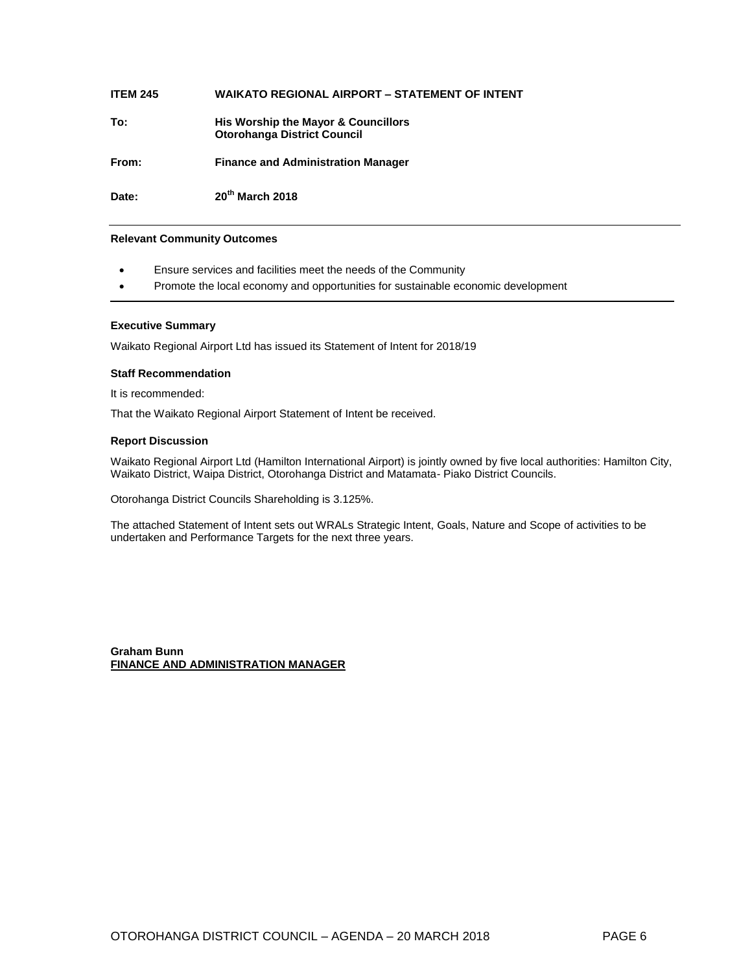| <b>ITEM 245</b> | <b>WAIKATO REGIONAL AIRPORT - STATEMENT OF INTENT</b>                     |
|-----------------|---------------------------------------------------------------------------|
| To:             | His Worship the Mayor & Councillors<br><b>Otorohanga District Council</b> |
| From:           | <b>Finance and Administration Manager</b>                                 |
| Date:           | 20 <sup>th</sup> March 2018                                               |

## **Relevant Community Outcomes**

- Ensure services and facilities meet the needs of the Community
- Promote the local economy and opportunities for sustainable economic development

## **Executive Summary**

Waikato Regional Airport Ltd has issued its Statement of Intent for 2018/19

## **Staff Recommendation**

It is recommended:

That the Waikato Regional Airport Statement of Intent be received.

## **Report Discussion**

Waikato Regional Airport Ltd (Hamilton International Airport) is jointly owned by five local authorities: Hamilton City, Waikato District, Waipa District, Otorohanga District and Matamata- Piako District Councils.

Otorohanga District Councils Shareholding is 3.125%.

The attached Statement of Intent sets out WRALs Strategic Intent, Goals, Nature and Scope of activities to be undertaken and Performance Targets for the next three years.

**Graham Bunn FINANCE AND ADMINISTRATION MANAGER**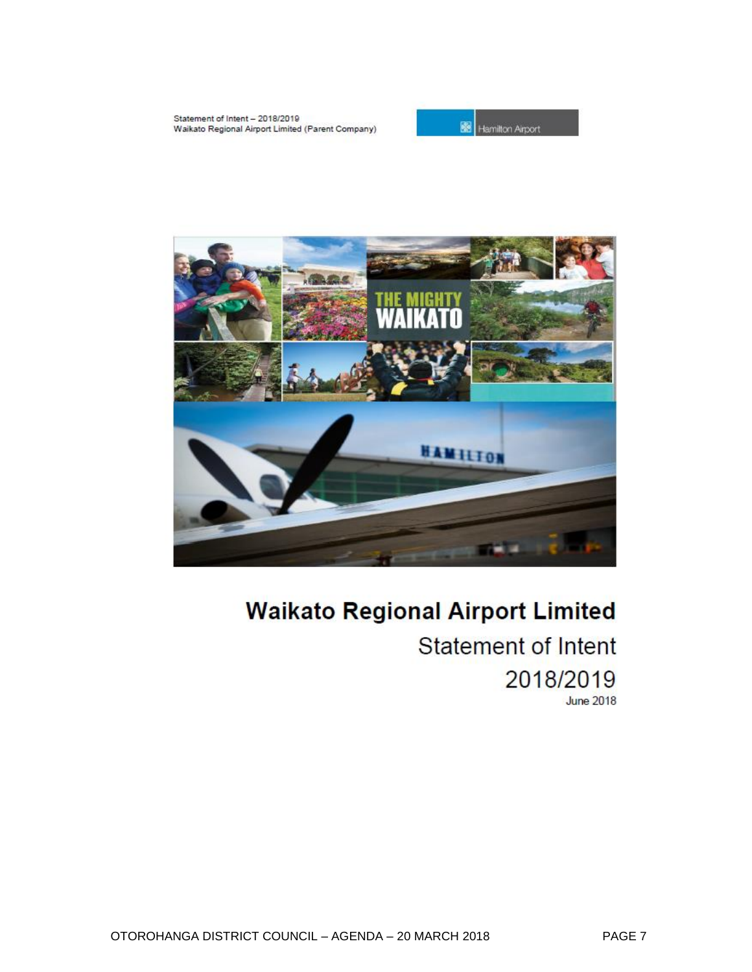



# **Waikato Regional Airport Limited Statement of Intent** 2018/2019

**June 2018**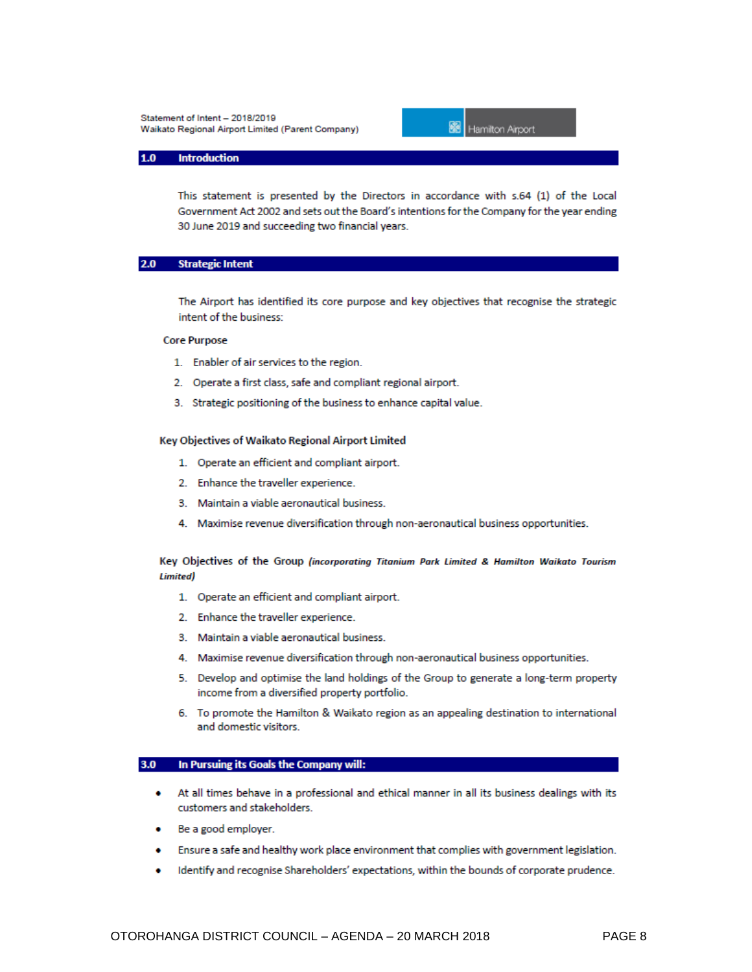

#### **Introduction**  $1.0$

This statement is presented by the Directors in accordance with s.64 (1) of the Local Government Act 2002 and sets out the Board's intentions for the Company for the year ending 30 June 2019 and succeeding two financial years.

#### $2.0<sub>1</sub>$ **Strategic Intent**

The Airport has identified its core purpose and key objectives that recognise the strategic intent of the business:

## **Core Purpose**

- 1. Enabler of air services to the region.
- 2. Operate a first class, safe and compliant regional airport.
- 3. Strategic positioning of the business to enhance capital value.

### Key Objectives of Waikato Regional Airport Limited

- 1. Operate an efficient and compliant airport.
- 2. Enhance the traveller experience.
- 3. Maintain a viable aeronautical business.
- 4. Maximise revenue diversification through non-aeronautical business opportunities.

## Key Objectives of the Group (incorporating Titanium Park Limited & Hamilton Waikato Tourism **Limited**)

- 1. Operate an efficient and compliant airport.
- 2. Enhance the traveller experience.
- 3. Maintain a viable aeronautical business.
- 4. Maximise revenue diversification through non-aeronautical business opportunities.
- 5. Develop and optimise the land holdings of the Group to generate a long-term property income from a diversified property portfolio.
- 6. To promote the Hamilton & Waikato region as an appealing destination to international and domestic visitors.

#### $3.0$ In Pursuing its Goals the Company will:

- At all times behave in a professional and ethical manner in all its business dealings with its customers and stakeholders.
- Be a good employer.
- Ensure a safe and healthy work place environment that complies with government legislation. ٠
- Identify and recognise Shareholders' expectations, within the bounds of corporate prudence.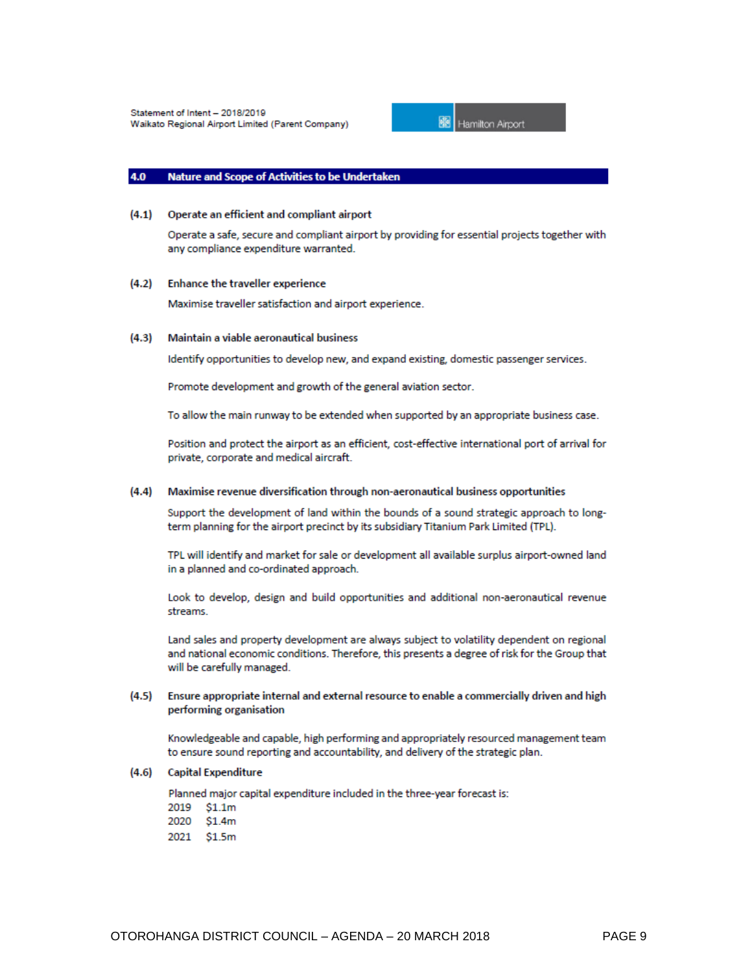

#### 4.0 **Nature and Scope of Activities to be Undertaken**

## (4.1) Operate an efficient and compliant airport

Operate a safe, secure and compliant airport by providing for essential projects together with any compliance expenditure warranted.

## (4.2) Enhance the traveller experience

Maximise traveller satisfaction and airport experience.

#### $(4.3)$ Maintain a viable aeronautical business

Identify opportunities to develop new, and expand existing, domestic passenger services.

Promote development and growth of the general aviation sector.

To allow the main runway to be extended when supported by an appropriate business case.

Position and protect the airport as an efficient, cost-effective international port of arrival for private, corporate and medical aircraft.

## (4.4) Maximise revenue diversification through non-aeronautical business opportunities

Support the development of land within the bounds of a sound strategic approach to longterm planning for the airport precinct by its subsidiary Titanium Park Limited (TPL).

TPL will identify and market for sale or development all available surplus airport-owned land in a planned and co-ordinated approach.

Look to develop, design and build opportunities and additional non-aeronautical revenue streams.

Land sales and property development are always subject to volatility dependent on regional and national economic conditions. Therefore, this presents a degree of risk for the Group that will be carefully managed.

#### Ensure appropriate internal and external resource to enable a commercially driven and high  $(4.5)$ performing organisation

Knowledgeable and capable, high performing and appropriately resourced management team to ensure sound reporting and accountability, and delivery of the strategic plan.

## (4.6) Capital Expenditure

Planned major capital expenditure included in the three-year forecast is:

- 2019  $$1.1m$
- 2020 \$1.4m
- 2021 \$1.5m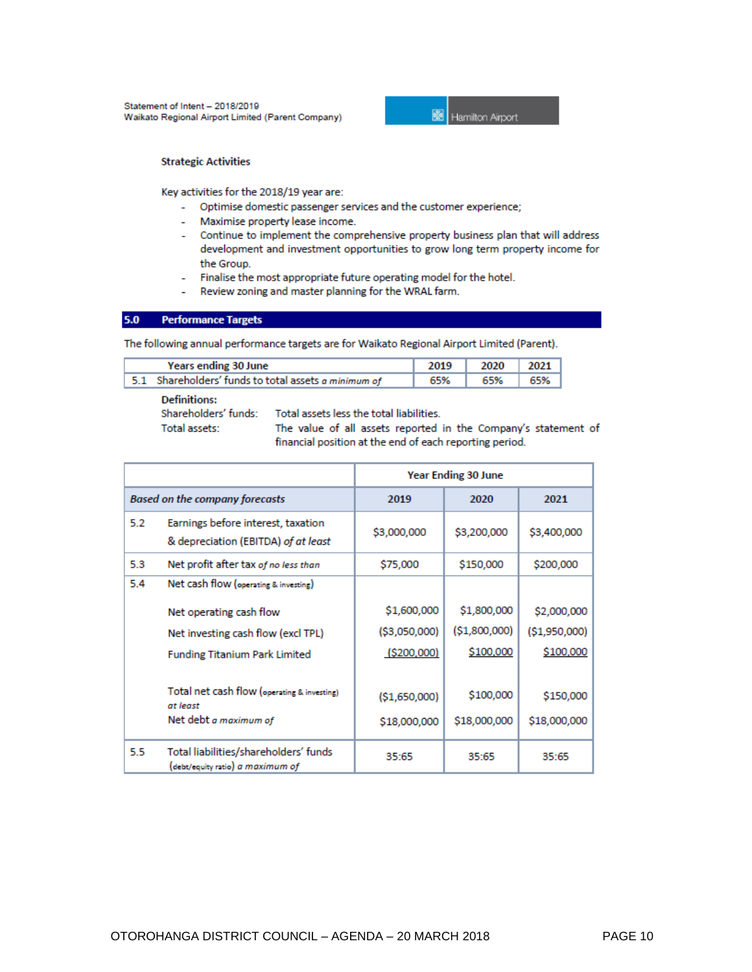

## **Strategic Activities**

Key activities for the 2018/19 year are:

- Optimise domestic passenger services and the customer experience;
- Maximise property lease income.
- Continue to implement the comprehensive property business plan that will address development and investment opportunities to grow long term property income for the Group.
- Finalise the most appropriate future operating model for the hotel.
- Review zoning and master planning for the WRAL farm. ä,

#### $5.0$ **Performance Targets**

The following annual performance targets are for Waikato Regional Airport Limited (Parent).

| Years ending 30 June |                                                      | 2019 | 2020 | 2021 |
|----------------------|------------------------------------------------------|------|------|------|
|                      | 5.1 Shareholders' funds to total assets a minimum of | 65%  | 65%  | 65%  |

**Definitions:** Shareholders' funds: Total assets:

Total assets less the total liabilities.

The value of all assets reported in the Company's statement of financial position at the end of each reporting period.

|                                       |                                                                           | Year Ending 30 June |               |               |
|---------------------------------------|---------------------------------------------------------------------------|---------------------|---------------|---------------|
| <b>Based on the company forecasts</b> |                                                                           | 2019                | 2020          | 2021          |
| 5.2                                   | Earnings before interest, taxation<br>& depreciation (EBITDA) of at least | \$3,000,000         | \$3,200,000   | \$3,400,000   |
| 5.3                                   | Net profit after tax of no less than                                      | \$75,000            | \$150,000     | \$200,000     |
| 5.4                                   | Net cash flow (operating & investing)                                     |                     |               |               |
|                                       | Net operating cash flow                                                   | \$1,600,000         | \$1,800,000   | \$2,000,000   |
|                                       | Net investing cash flow (excl TPL)                                        | (\$3,050,000)       | (\$1,800,000) | (\$1,950,000) |
|                                       | <b>Funding Titanium Park Limited</b>                                      | ( \$200,000]        | \$100,000     | \$100,000     |
|                                       |                                                                           |                     |               |               |
|                                       | Total net cash flow (operating & investing)<br>at least                   | (S1,650,000)        | \$100,000     | \$150,000     |
|                                       | Net debt a maximum of                                                     | \$18,000,000        | \$18,000,000  | \$18,000,000  |
| 5.5                                   | Total liabilities/shareholders' funds<br>(debt/equity ratio) a maximum of | 35:65               | 35:65         | 35:65         |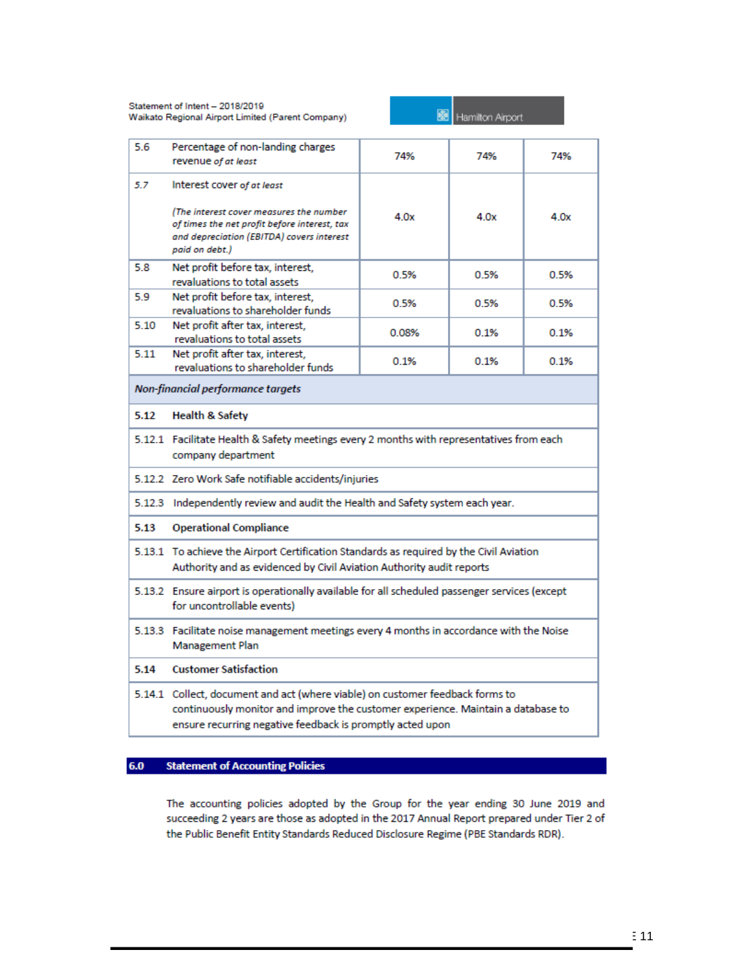

| 5.6                               | Percentage of non-landing charges<br>revenue of at least                                                                                                                                                                       | 74%   | 74%  | 74%  |  |
|-----------------------------------|--------------------------------------------------------------------------------------------------------------------------------------------------------------------------------------------------------------------------------|-------|------|------|--|
| 5.7                               | Interest cover of at least<br>(The interest cover measures the number<br>of times the net profit before interest, tax<br>and depreciation (EBITDA) covers interest<br>paid on debt.)                                           | 4.0x  | 4.0x | 4.0x |  |
| 5.8                               | Net profit before tax, interest,<br>revaluations to total assets                                                                                                                                                               | 0.5%  | 0.5% | 0.5% |  |
| 5.9                               | Net profit before tax, interest,<br>revaluations to shareholder funds                                                                                                                                                          | 0.5%  | 0.5% | 0.5% |  |
| 5.10                              | Net profit after tax, interest,<br>revaluations to total assets                                                                                                                                                                | 0.08% | 0.1% | 0.1% |  |
| 5.11                              | Net profit after tax, interest,<br>0.1%<br>0.1%<br>0.1%<br>revaluations to shareholder funds                                                                                                                                   |       |      |      |  |
| Non-financial performance targets |                                                                                                                                                                                                                                |       |      |      |  |
| 5.12                              | <b>Health &amp; Safety</b>                                                                                                                                                                                                     |       |      |      |  |
|                                   | 5.12.1 Facilitate Health & Safety meetings every 2 months with representatives from each<br>company department                                                                                                                 |       |      |      |  |
|                                   | 5.12.2 Zero Work Safe notifiable accidents/injuries                                                                                                                                                                            |       |      |      |  |
|                                   | 5.12.3 Independently review and audit the Health and Safety system each year.                                                                                                                                                  |       |      |      |  |
| 5.13                              | <b>Operational Compliance</b>                                                                                                                                                                                                  |       |      |      |  |
|                                   | 5.13.1 To achieve the Airport Certification Standards as required by the Civil Aviation<br>Authority and as evidenced by Civil Aviation Authority audit reports                                                                |       |      |      |  |
|                                   | 5.13.2 Ensure airport is operationally available for all scheduled passenger services (except<br>for uncontrollable events)                                                                                                    |       |      |      |  |
|                                   | 5.13.3 Facilitate noise management meetings every 4 months in accordance with the Noise<br>Management Plan                                                                                                                     |       |      |      |  |
| 5.14                              | <b>Customer Satisfaction</b>                                                                                                                                                                                                   |       |      |      |  |
|                                   | 5.14.1 Collect, document and act (where viable) on customer feedback forms to<br>continuously monitor and improve the customer experience. Maintain a database to<br>ensure recurring negative feedback is promptly acted upon |       |      |      |  |

#### $6.0$ **Statement of Accounting Policies**

The accounting policies adopted by the Group for the year ending 30 June 2019 and succeeding 2 years are those as adopted in the 2017 Annual Report prepared under Tier 2 of the Public Benefit Entity Standards Reduced Disclosure Regime (PBE Standards RDR).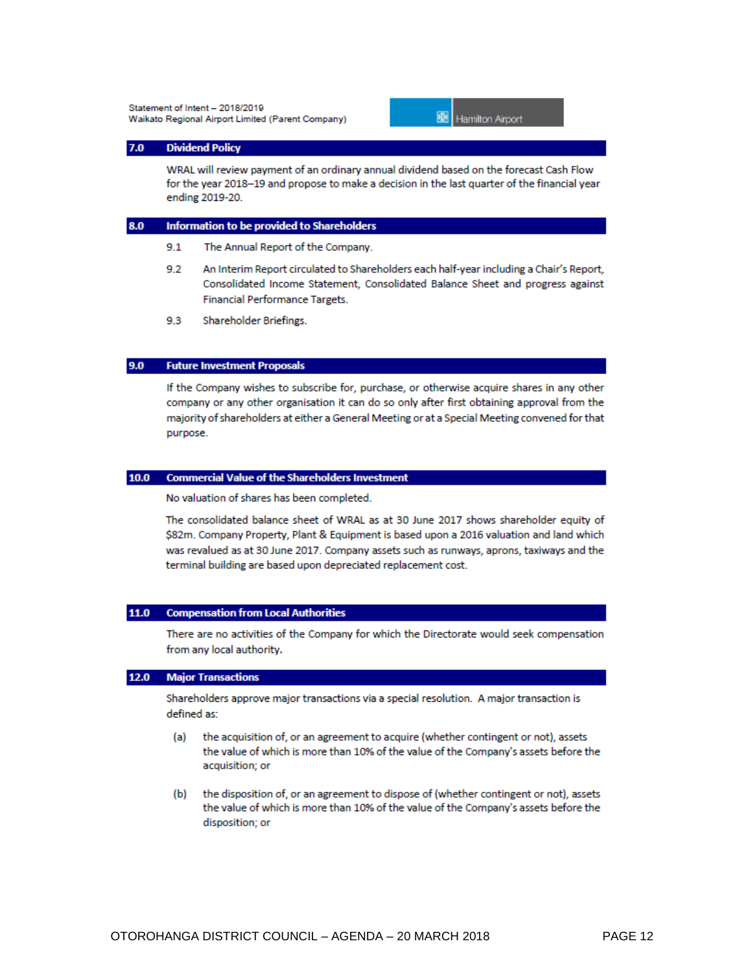

#### $7.0$ **Dividend Policy**

WRAL will review payment of an ordinary annual dividend based on the forecast Cash Flow for the year 2018-19 and propose to make a decision in the last quarter of the financial year ending 2019-20.

#### 8.0 Information to be provided to Shareholders

- $9.1$ The Annual Report of the Company.
- An Interim Report circulated to Shareholders each half-year including a Chair's Report, 9.2 Consolidated Income Statement, Consolidated Balance Sheet and progress against **Financial Performance Targets.**
- $9.3$ Shareholder Briefings.

#### $9.0$ **Future Investment Proposals**

If the Company wishes to subscribe for, purchase, or otherwise acquire shares in any other company or any other organisation it can do so only after first obtaining approval from the majority of shareholders at either a General Meeting or at a Special Meeting convened for that purpose.

## 10.0 Commercial Value of the Shareholders Investment

No valuation of shares has been completed.

The consolidated balance sheet of WRAL as at 30 June 2017 shows shareholder equity of \$82m. Company Property, Plant & Equipment is based upon a 2016 valuation and land which was revalued as at 30 June 2017. Company assets such as runways, aprons, taxiways and the terminal building are based upon depreciated replacement cost.

#### $11.0$ **Compensation from Local Authorities**

There are no activities of the Company for which the Directorate would seek compensation from any local authority.

#### $12.0$ **Major Transactions**

Shareholders approve major transactions via a special resolution. A major transaction is defined as:

- the acquisition of, or an agreement to acquire (whether contingent or not), assets (a) the value of which is more than 10% of the value of the Company's assets before the acquisition; or
- (b) the disposition of, or an agreement to dispose of (whether contingent or not), assets the value of which is more than 10% of the value of the Company's assets before the disposition; or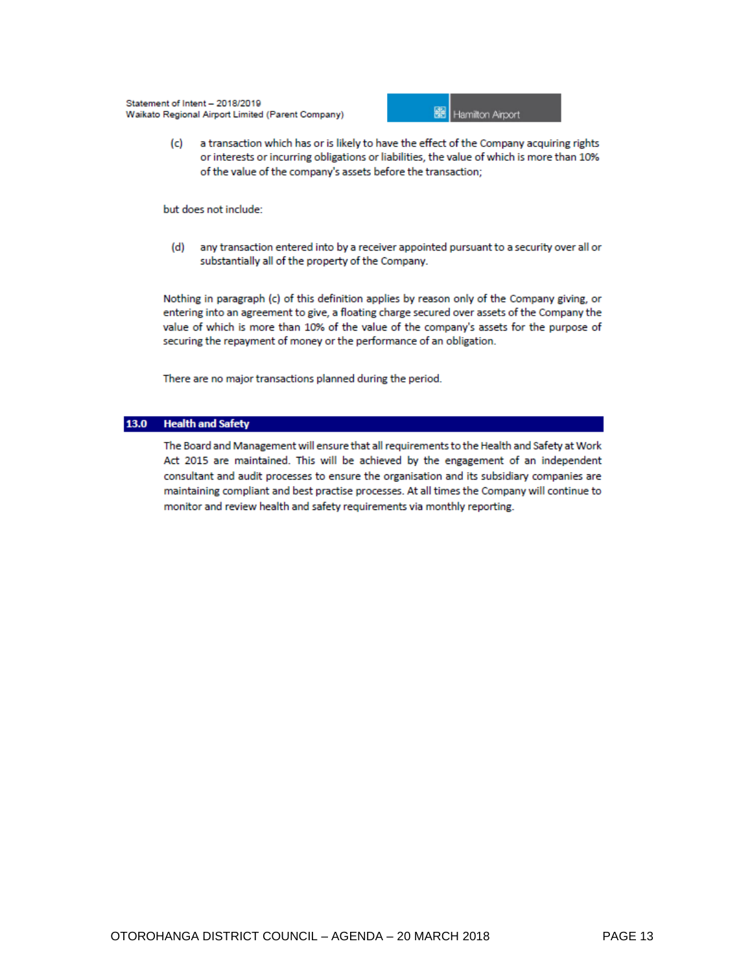

a transaction which has or is likely to have the effect of the Company acquiring rights  $(c)$ or interests or incurring obligations or liabilities, the value of which is more than 10% of the value of the company's assets before the transaction;

but does not include:

 $(d)$ any transaction entered into by a receiver appointed pursuant to a security over all or substantially all of the property of the Company.

Nothing in paragraph (c) of this definition applies by reason only of the Company giving, or entering into an agreement to give, a floating charge secured over assets of the Company the value of which is more than 10% of the value of the company's assets for the purpose of securing the repayment of money or the performance of an obligation.

There are no major transactions planned during the period.

## 13.0 Health and Safety

The Board and Management will ensure that all requirements to the Health and Safety at Work Act 2015 are maintained. This will be achieved by the engagement of an independent consultant and audit processes to ensure the organisation and its subsidiary companies are maintaining compliant and best practise processes. At all times the Company will continue to monitor and review health and safety requirements via monthly reporting.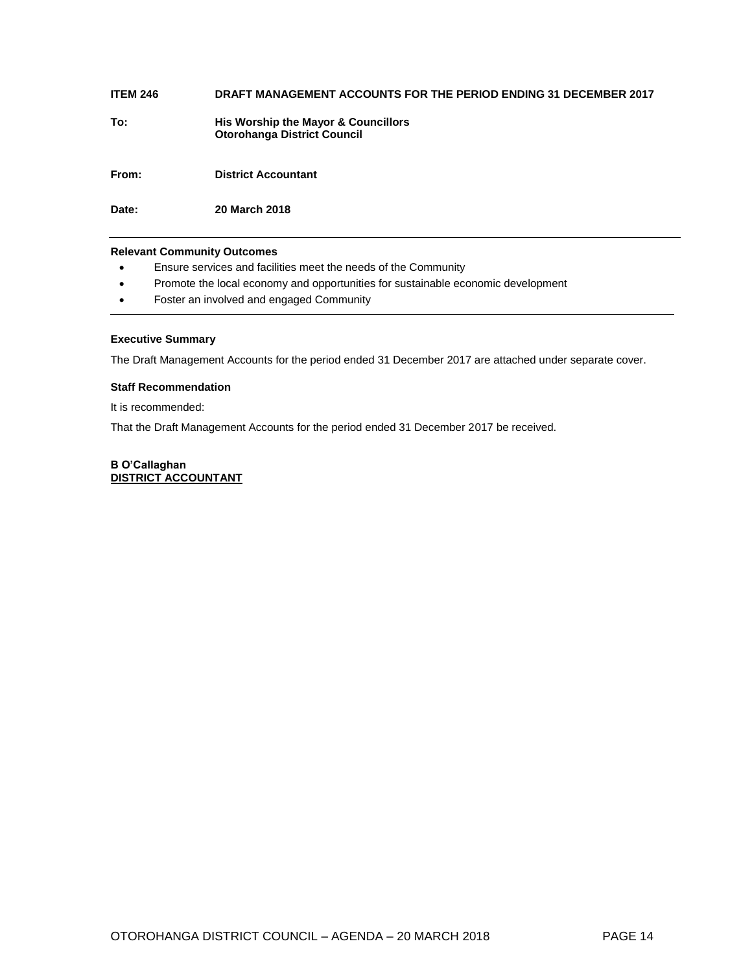## **ITEM 246 DRAFT MANAGEMENT ACCOUNTS FOR THE PERIOD ENDING 31 DECEMBER 2017**

**To: His Worship the Mayor & Councillors Otorohanga District Council**

**From: District Accountant**

**Date: 20 March 2018**

## **Relevant Community Outcomes**

- Ensure services and facilities meet the needs of the Community
- Promote the local economy and opportunities for sustainable economic development
- Foster an involved and engaged Community

## **Executive Summary**

The Draft Management Accounts for the period ended 31 December 2017 are attached under separate cover.

## **Staff Recommendation**

It is recommended:

That the Draft Management Accounts for the period ended 31 December 2017 be received.

## **B O'Callaghan DISTRICT ACCOUNTANT**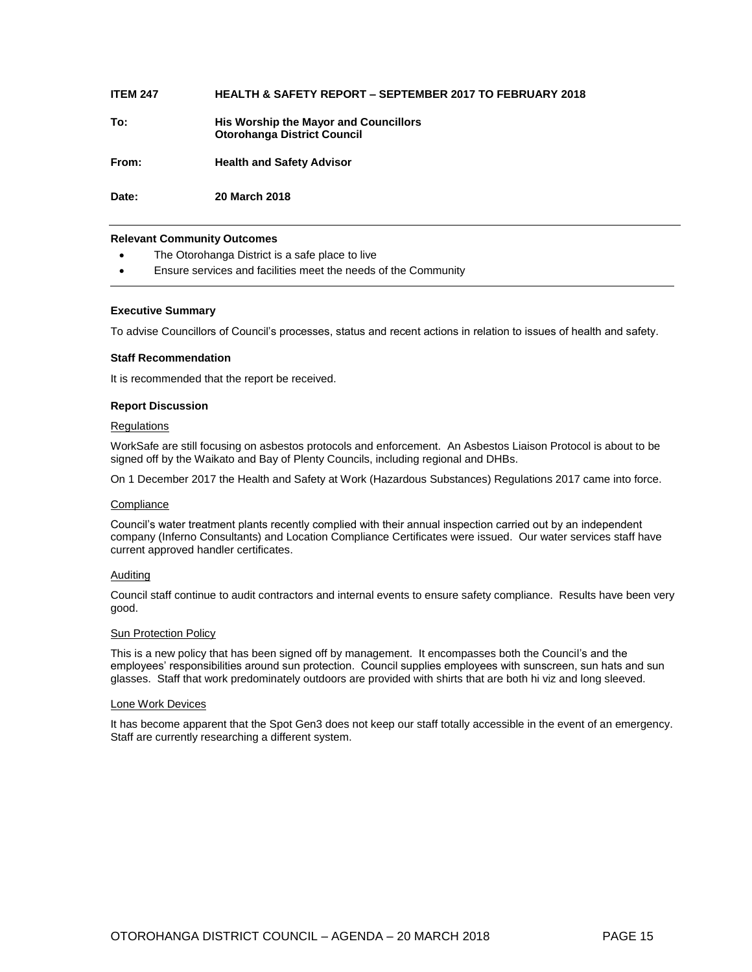## **ITEM 247 HEALTH & SAFETY REPORT – SEPTEMBER 2017 TO FEBRUARY 2018**

**To: His Worship the Mayor and Councillors Otorohanga District Council**

**From: Health and Safety Advisor**

**Date: 20 March 2018**

## **Relevant Community Outcomes**

- The Otorohanga District is a safe place to live
- Ensure services and facilities meet the needs of the Community

## **Executive Summary**

To advise Councillors of Council's processes, status and recent actions in relation to issues of health and safety.

## **Staff Recommendation**

It is recommended that the report be received.

## **Report Discussion**

## **Regulations**

WorkSafe are still focusing on asbestos protocols and enforcement. An Asbestos Liaison Protocol is about to be signed off by the Waikato and Bay of Plenty Councils, including regional and DHBs.

On 1 December 2017 the Health and Safety at Work (Hazardous Substances) Regulations 2017 came into force.

## **Compliance**

Council's water treatment plants recently complied with their annual inspection carried out by an independent company (Inferno Consultants) and Location Compliance Certificates were issued. Our water services staff have current approved handler certificates.

## Auditing

Council staff continue to audit contractors and internal events to ensure safety compliance. Results have been very good.

## **Sun Protection Policy**

This is a new policy that has been signed off by management. It encompasses both the Council's and the employees' responsibilities around sun protection. Council supplies employees with sunscreen, sun hats and sun glasses. Staff that work predominately outdoors are provided with shirts that are both hi viz and long sleeved.

## Lone Work Devices

It has become apparent that the Spot Gen3 does not keep our staff totally accessible in the event of an emergency. Staff are currently researching a different system.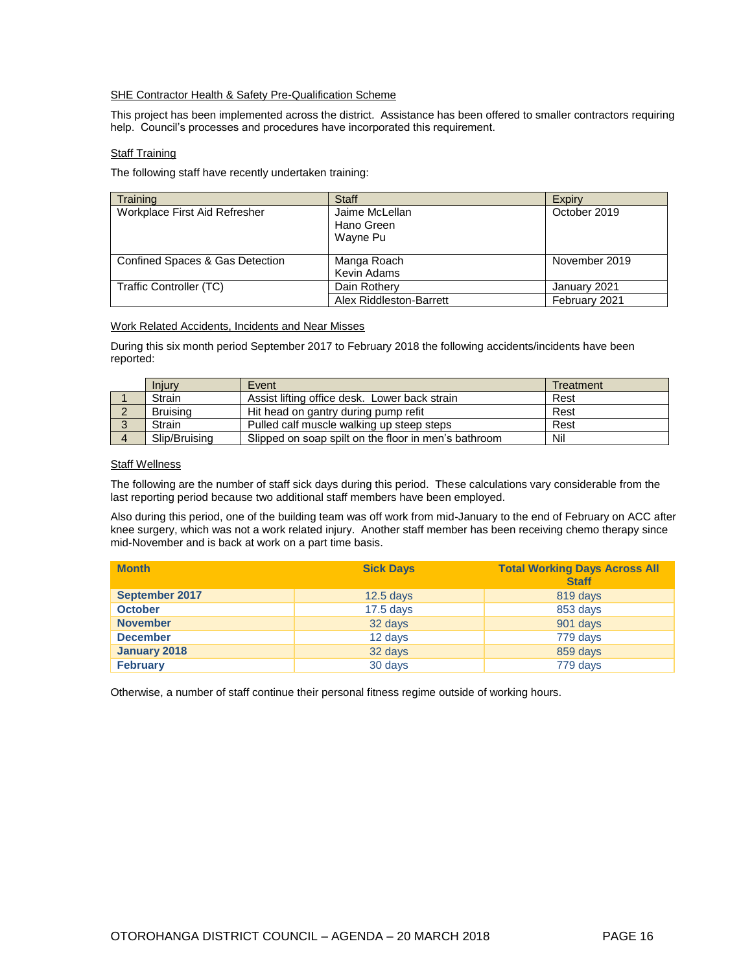## SHE Contractor Health & Safety Pre-Qualification Scheme

This project has been implemented across the district. Assistance has been offered to smaller contractors requiring help. Council's processes and procedures have incorporated this requirement.

## **Staff Training**

The following staff have recently undertaken training:

| <b>Training</b>                 | <b>Staff</b>                             | Expiry        |
|---------------------------------|------------------------------------------|---------------|
| Workplace First Aid Refresher   | Jaime McLellan<br>Hano Green<br>Wayne Pu | October 2019  |
| Confined Spaces & Gas Detection | Manga Roach<br>Kevin Adams               | November 2019 |
| Traffic Controller (TC)         | Dain Rothery                             | January 2021  |
|                                 | Alex Riddleston-Barrett                  | February 2021 |

## Work Related Accidents, Incidents and Near Misses

During this six month period September 2017 to February 2018 the following accidents/incidents have been reported:

|          | Injury          | Event                                                | Treatment |
|----------|-----------------|------------------------------------------------------|-----------|
|          | Strain          | Assist lifting office desk. Lower back strain        | Rest      |
|          | <b>Bruising</b> | Hit head on gantry during pump refit                 | Rest      |
| $\Omega$ | Strain          | Pulled calf muscle walking up steep steps            | Rest      |
| $\Delta$ | Slip/Bruising   | Slipped on soap spilt on the floor in men's bathroom | Nil       |

## **Staff Wellness**

The following are the number of staff sick days during this period. These calculations vary considerable from the last reporting period because two additional staff members have been employed.

Also during this period, one of the building team was off work from mid-January to the end of February on ACC after knee surgery, which was not a work related injury. Another staff member has been receiving chemo therapy since mid-November and is back at work on a part time basis.

| <b>Month</b>          | <b>Sick Days</b> | <b>Total Working Days Across All</b><br><b>Staff</b> |
|-----------------------|------------------|------------------------------------------------------|
| <b>September 2017</b> | $12.5$ days      | 819 days                                             |
| <b>October</b>        | $17.5$ days      | 853 days                                             |
| <b>November</b>       | 32 days          | 901 days                                             |
| <b>December</b>       | 12 days          | 779 days                                             |
| January 2018          | 32 days          | 859 days                                             |
| <b>February</b>       | 30 days          | 779 days                                             |

Otherwise, a number of staff continue their personal fitness regime outside of working hours.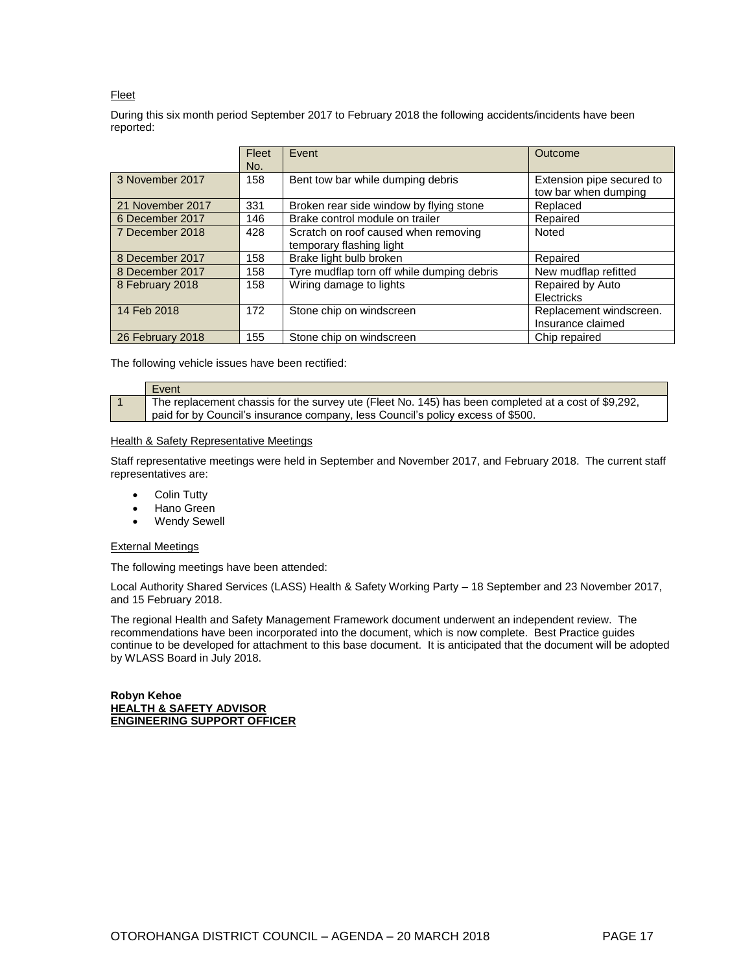## Fleet

During this six month period September 2017 to February 2018 the following accidents/incidents have been reported:

|                  | Fleet | Event                                      | <b>Outcome</b>                                    |
|------------------|-------|--------------------------------------------|---------------------------------------------------|
|                  | No.   |                                            |                                                   |
| 3 November 2017  | 158   | Bent tow bar while dumping debris          | Extension pipe secured to<br>tow bar when dumping |
| 21 November 2017 | 331   | Broken rear side window by flying stone    | Replaced                                          |
| 6 December 2017  | 146   | Brake control module on trailer            | Repaired                                          |
| 7 December 2018  | 428   | Scratch on roof caused when removing       | Noted                                             |
|                  |       | temporary flashing light                   |                                                   |
| 8 December 2017  | 158   | Brake light bulb broken                    | Repaired                                          |
| 8 December 2017  | 158   | Tyre mudflap torn off while dumping debris | New mudflap refitted                              |
| 8 February 2018  | 158   | Wiring damage to lights                    | Repaired by Auto                                  |
|                  |       |                                            | Electricks                                        |
| 14 Feb 2018      | 172   | Stone chip on windscreen                   | Replacement windscreen.                           |
|                  |       |                                            | Insurance claimed                                 |
| 26 February 2018 | 155   | Stone chip on windscreen                   | Chip repaired                                     |

The following vehicle issues have been rectified:

| Event                                                                                               |  |
|-----------------------------------------------------------------------------------------------------|--|
| The replacement chassis for the survey ute (Fleet No. 145) has been completed at a cost of \$9,292, |  |
| paid for by Council's insurance company, less Council's policy excess of \$500.                     |  |

## **Health & Safety Representative Meetings**

Staff representative meetings were held in September and November 2017, and February 2018. The current staff representatives are:

- Colin Tutty
- Hano Green
- Wendy Sewell

## External Meetings

The following meetings have been attended:

Local Authority Shared Services (LASS) Health & Safety Working Party – 18 September and 23 November 2017, and 15 February 2018.

The regional Health and Safety Management Framework document underwent an independent review. The recommendations have been incorporated into the document, which is now complete. Best Practice guides continue to be developed for attachment to this base document. It is anticipated that the document will be adopted by WLASS Board in July 2018.

**Robyn Kehoe HEALTH & SAFETY ADVISOR ENGINEERING SUPPORT OFFICER**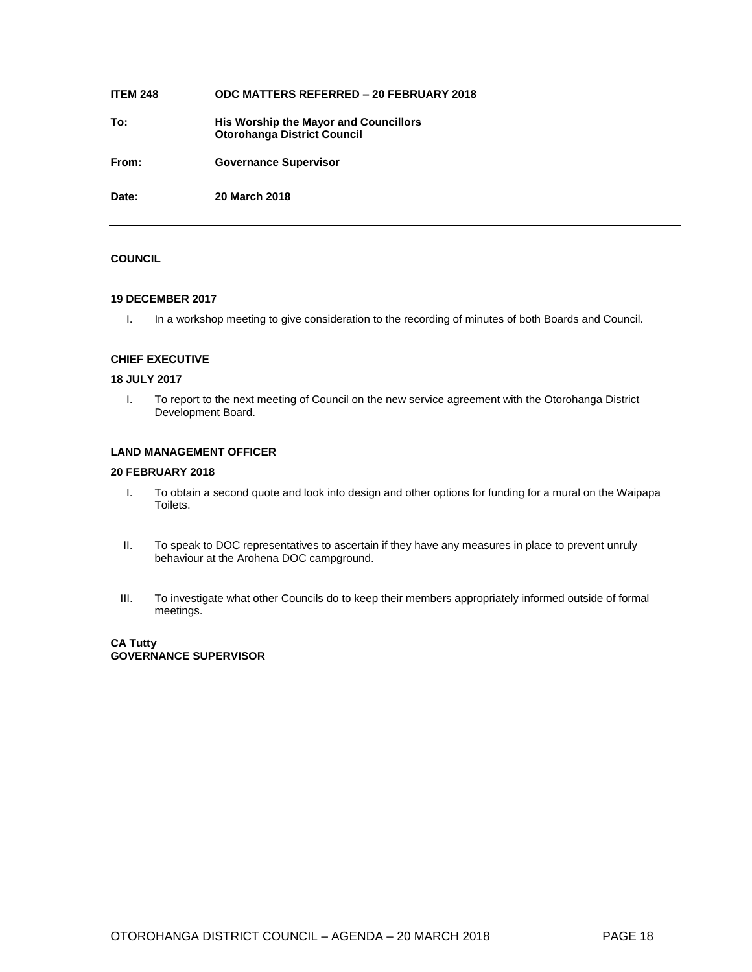## **ITEM 248 ODC MATTERS REFERRED – 20 FEBRUARY 2018**

**To: His Worship the Mayor and Councillors Otorohanga District Council**

**From: Governance Supervisor**

**Date: 20 March 2018**

## **COUNCIL**

## **19 DECEMBER 2017**

I. In a workshop meeting to give consideration to the recording of minutes of both Boards and Council.

## **CHIEF EXECUTIVE**

## **18 JULY 2017**

I. To report to the next meeting of Council on the new service agreement with the Otorohanga District Development Board.

## **LAND MANAGEMENT OFFICER**

## **20 FEBRUARY 2018**

- I. To obtain a second quote and look into design and other options for funding for a mural on the Waipapa Toilets.
- II. To speak to DOC representatives to ascertain if they have any measures in place to prevent unruly behaviour at the Arohena DOC campground.
- III. To investigate what other Councils do to keep their members appropriately informed outside of formal meetings.

## **CA Tutty GOVERNANCE SUPERVISOR**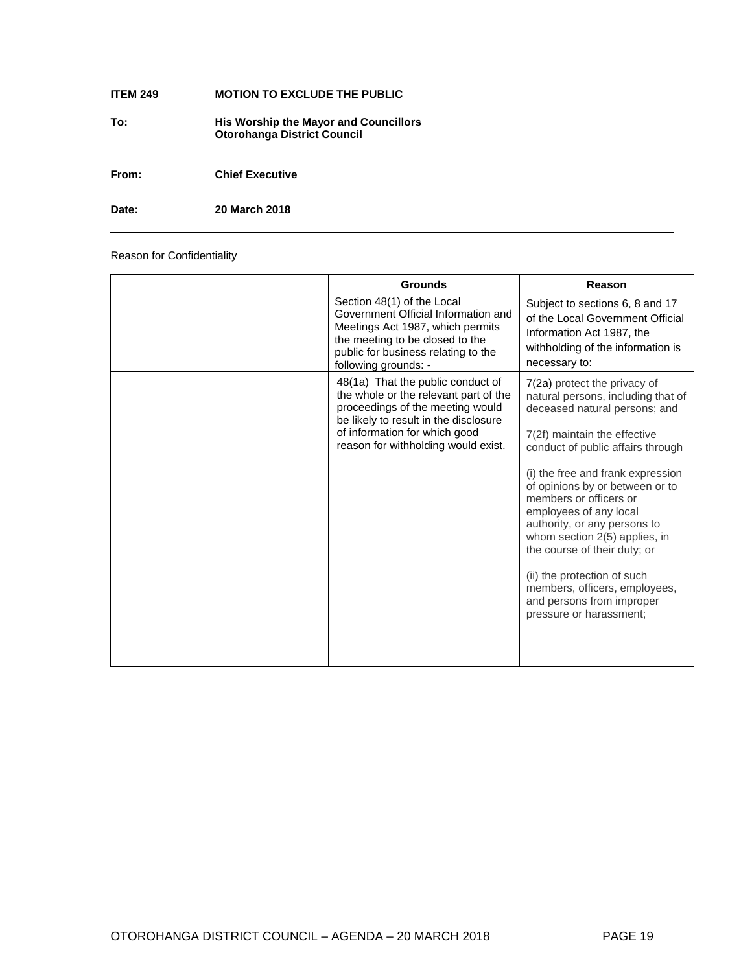## **ITEM 249 MOTION TO EXCLUDE THE PUBLIC**

**To: His Worship the Mayor and Councillors Otorohanga District Council**

**From: Chief Executive**

**Date: 20 March 2018**

Reason for Confidentiality

| <b>Grounds</b>                                                                                                                                                                                                                  | Reason                                                                                                                                                                                                                                                                                                                                                                                                                                                                                                                        |
|---------------------------------------------------------------------------------------------------------------------------------------------------------------------------------------------------------------------------------|-------------------------------------------------------------------------------------------------------------------------------------------------------------------------------------------------------------------------------------------------------------------------------------------------------------------------------------------------------------------------------------------------------------------------------------------------------------------------------------------------------------------------------|
| Section 48(1) of the Local<br>Government Official Information and<br>Meetings Act 1987, which permits<br>the meeting to be closed to the<br>public for business relating to the<br>following grounds: -                         | Subject to sections 6, 8 and 17<br>of the Local Government Official<br>Information Act 1987, the<br>withholding of the information is<br>necessary to:                                                                                                                                                                                                                                                                                                                                                                        |
| 48(1a) That the public conduct of<br>the whole or the relevant part of the<br>proceedings of the meeting would<br>be likely to result in the disclosure<br>of information for which good<br>reason for withholding would exist. | 7(2a) protect the privacy of<br>natural persons, including that of<br>deceased natural persons; and<br>7(2f) maintain the effective<br>conduct of public affairs through<br>(i) the free and frank expression<br>of opinions by or between or to<br>members or officers or<br>employees of any local<br>authority, or any persons to<br>whom section 2(5) applies, in<br>the course of their duty; or<br>(ii) the protection of such<br>members, officers, employees,<br>and persons from improper<br>pressure or harassment; |